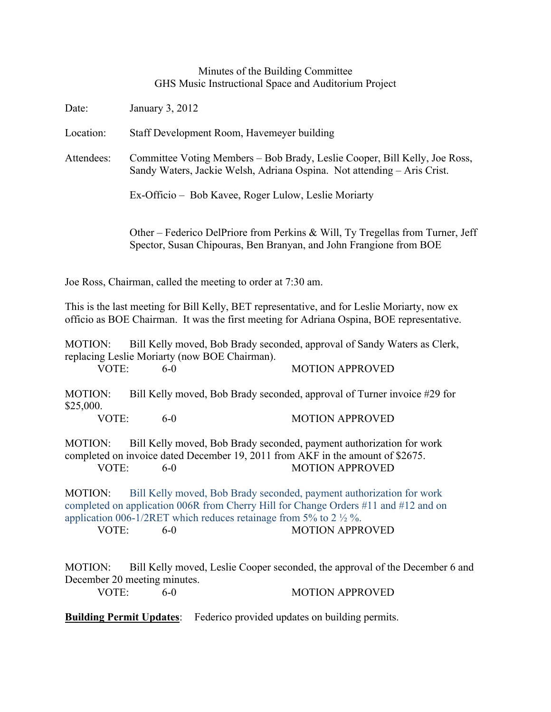## Minutes of the Building Committee GHS Music Instructional Space and Auditorium Project

Date: January 3, 2012 Location: Staff Development Room, Havemeyer building Attendees: Committee Voting Members – Bob Brady, Leslie Cooper, Bill Kelly, Joe Ross, Sandy Waters, Jackie Welsh, Adriana Ospina. Not attending – Aris Crist. Ex-Officio – Bob Kavee, Roger Lulow, Leslie Moriarty Other – Federico DelPriore from Perkins & Will, Ty Tregellas from Turner, Jeff Spector, Susan Chipouras, Ben Branyan, and John Frangione from BOE

Joe Ross, Chairman, called the meeting to order at 7:30 am.

This is the last meeting for Bill Kelly, BET representative, and for Leslie Moriarty, now ex officio as BOE Chairman. It was the first meeting for Adriana Ospina, BOE representative.

MOTION: Bill Kelly moved, Bob Brady seconded, approval of Sandy Waters as Clerk, replacing Leslie Moriarty (now BOE Chairman). VOTE: 6-0 MOTION APPROVED

MOTION: Bill Kelly moved, Bob Brady seconded, approval of Turner invoice #29 for \$25,000.

VOTE: 6-0 MOTION APPROVED

MOTION: Bill Kelly moved, Bob Brady seconded, payment authorization for work completed on invoice dated December 19, 2011 from AKF in the amount of \$2675. VOTE: 6-0 MOTION APPROVED

MOTION: Bill Kelly moved, Bob Brady seconded, payment authorization for work completed on application 006R from Cherry Hill for Change Orders #11 and #12 and on application 006-1/2RET which reduces retainage from 5% to 2  $\frac{1}{2}$ %.

VOTE: 6-0 MOTION APPROVED

MOTION: Bill Kelly moved, Leslie Cooper seconded, the approval of the December 6 and December 20 meeting minutes.

VOTE: 6-0 60 MOTION APPROVED

**Building Permit Updates**: Federico provided updates on building permits.